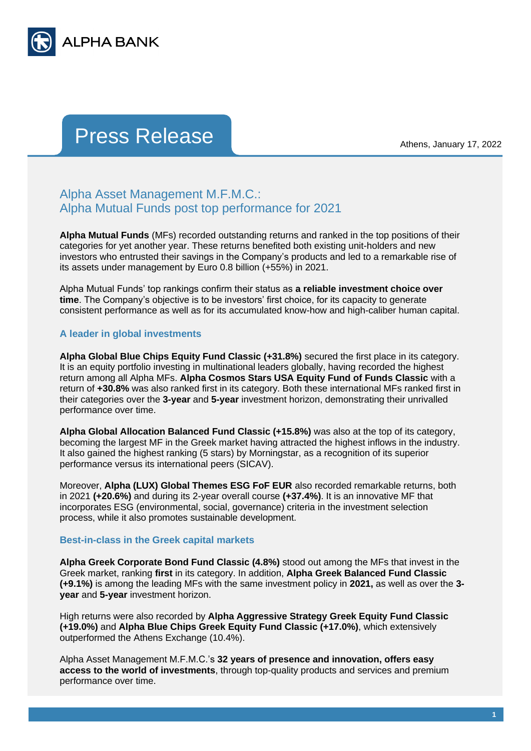

## Press Release Athens, January 17, 2022

## Alpha Asset Management M.F.M.C.: Alpha Mutual Funds post top performance for 2021

**Alpha Mutual Funds** (MFs) recorded outstanding returns and ranked in the top positions of their categories for yet another year. These returns benefited both existing unit-holders and new investors who entrusted their savings in the Company's products and led to a remarkable rise of its assets under management by Euro 0.8 billion (+55%) in 2021.

Alpha Mutual Funds' top rankings confirm their status as **a reliable investment choice over time**. The Company's objective is to be investors' first choice, for its capacity to generate consistent performance as well as for its accumulated know-how and high-caliber human capital.

## **A leader in global investments**

**Alpha Global Blue Chips Equity Fund Classic (+31.8%)** secured the first place in its category. It is an equity portfolio investing in multinational leaders globally, having recorded the highest return among all Alpha MFs. **Alpha Cosmos Stars USA Equity Fund of Funds Classic** with a return of **+30.8%** was also ranked first in its category. Both these international MFs ranked first in their categories over the **3-year** and **5-year** investment horizon, demonstrating their unrivalled performance over time.

**Alpha Global Allocation Balanced Fund Classic (+15.8%)** was also at the top of its category, becoming the largest MF in the Greek market having attracted the highest inflows in the industry. It also gained the highest ranking (5 stars) by Morningstar, as a recognition of its superior performance versus its international peers (SICAV).

Moreover, **Alpha (LUX) Global Themes ESG FoF EUR** also recorded remarkable returns, both in 2021 **(+20.6%)** and during its 2-year overall course **(+37.4%)**. It is an innovative MF that incorporates ESG (environmental, social, governance) criteria in the investment selection process, while it also promotes sustainable development.

## **Best-in-class in the Greek capital markets**

**Alpha Greek Corporate Bond Fund Classic (4.8%)** stood out among the MFs that invest in the Greek market, ranking **first** in its category. In addition, **Alpha Greek Balanced Fund Classic (+9.1%)** is among the leading MFs with the same investment policy in **2021,** as well as over the **3 year** and **5-year** investment horizon.

High returns were also recorded by **Alpha Aggressive Strategy Greek Equity Fund Classic (+19.0%)** and **Alpha Blue Chips Greek Equity Fund Classic (+17.0%)**, which extensively outperformed the Athens Exchange (10.4%).

Alpha Asset Management M.F.M.C.'s **32 years of presence and innovation, offers easy access to the world of investments**, through top-quality products and services and premium performance over time.